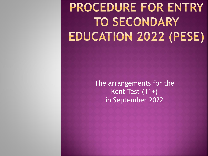# **PROCEDURE FOR ENTRY TO SECONDARY EDUCATION 2022 (PESE)**

The arrangements for the Kent Test (11+) in September 2022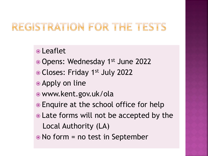## REGISTRATION FOR THE TESTS

Leaflet

- Opens: Wednesday 1st June 2022
- Closes: Friday 1st July 2022
- Apply on line
- www.kent.gov.uk/ola
- Enquire at the school office for help
- Late forms will not be accepted by the Local Authority (LA)
- No form = no test in September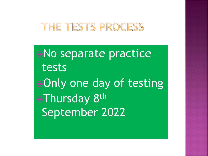#### THE TESTS PROCESS

No separate practice tests Only one day of testing **•Thursday 8th** September 2022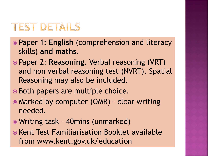## **TEST DETAILS**

- Paper 1: **English** (comprehension and literacy skills) **and maths**.
- Paper 2: **Reasoning**. Verbal reasoning (VRT) and non verbal reasoning test (NVRT). Spatial Reasoning may also be included.
- Both papers are multiple choice.
- Marked by computer (OMR) clear writing needed.
- Writing task 40mins (unmarked)
- Kent Test Familiarisation Booklet available from www.kent.gov.uk/education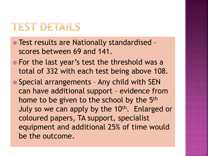#### **TEST DETAILS**

- Test results are Nationally standardised scores between 69 and 141.
- For the last year's test the threshold was a total of 332 with each test being above 108.
- Special arrangements Any child with SEN can have additional support – evidence from home to be given to the school by the 5<sup>th</sup> July so we can apply by the 10<sup>th</sup>. Enlarged or coloured papers, TA support, specialist equipment and additional 25% of time would be the outcome.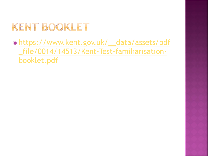# KENT BOOKLET

 https://www.kent.gov.uk/\_\_data/assets/pdf [\\_file/0014/14513/Kent-Test-familiarisation](https://www.kent.gov.uk/__data/assets/pdf_file/0014/14513/Kent-Test-familiarisation-booklet.pdf)booklet.pdf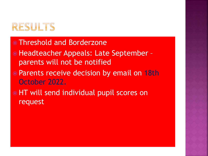## RESULTS

- Threshold and Borderzone
- Headteacher Appeals: Late September parents will not be notified
- Parents receive decision by email on 18th October 2022.
- HT will send individual pupil scores on request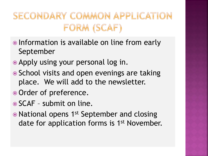# SECONDARY COMMON APPLICATION FORM (SCAF)

- Information is available on line from early September
- Apply using your personal log in.
- School visits and open evenings are taking place. We will add to the newsletter.
- Order of preference.
- SCAF submit on line.
- National opens 1<sup>st</sup> September and closing date for application forms is 1<sup>st</sup> November.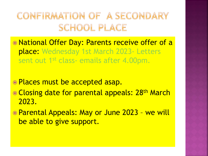## CONFIRMATION OF A SECONDARY SCHOOL PLACE

- National Offer Day: Parents receive offer of a place: Wednesday 1st March 2023- Letters sent out 1<sup>st</sup> class- emails after 4.00pm.
- Places must be accepted asap.
- **Closing date for parental appeals: 28<sup>th</sup> March** 2023.
- Parental Appeals: May or June 2023 we will be able to give support.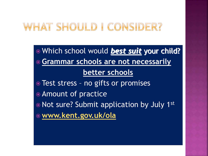## WHAT SHOULD I CONSIDER?

 Which school would *best suit* your child? **Grammar schools are not necessarily better schools** • Test stress - no gifts or promises Amount of practice • Not sure? Submit application by July 1st **[www.kent.gov.uk/ola](http://www.kent.gov.uk/ola)**